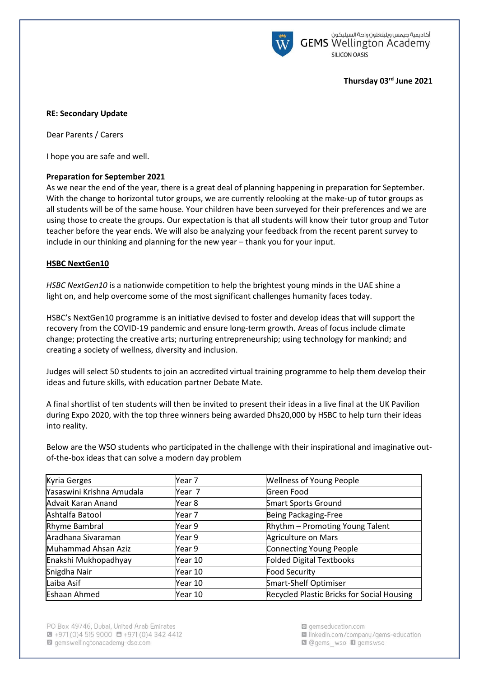

أكاديمية جيمس ويلينغتون واحة السيليكون **GEMS** Wellington Academy **SILICON OASIS** 

## **Thursday 03rd June 2021**

#### **RE: Secondary Update**

Dear Parents / Carers

I hope you are safe and well.

# **Preparation for September 2021**

As we near the end of the year, there is a great deal of planning happening in preparation for September. With the change to horizontal tutor groups, we are currently relooking at the make-up of tutor groups as all students will be of the same house. Your children have been surveyed for their preferences and we are using those to create the groups. Our expectation is that all students will know their tutor group and Tutor teacher before the year ends. We will also be analyzing your feedback from the recent parent survey to include in our thinking and planning for the new year – thank you for your input.

## **HSBC NextGen10**

*HSBC NextGen10* is a nationwide competition to help the brightest young minds in the UAE shine a light on, and help overcome some of the most significant challenges humanity faces today.

HSBC's NextGen10 programme is an initiative devised to foster and develop ideas that will support the recovery from the COVID-19 pandemic and ensure long-term growth. Areas of focus include climate change; protecting the creative arts; nurturing entrepreneurship; using technology for mankind; and creating a society of wellness, diversity and inclusion.

Judges will select 50 students to join an accredited virtual training programme to help them develop their ideas and future skills, with education partner Debate Mate.

A final shortlist of ten students will then be invited to present their ideas in a live final at the UK Pavilion during Expo 2020, with the top three winners being awarded Dhs20,000 by HSBC to help turn their ideas into reality.

Below are the WSO students who participated in the challenge with their inspirational and imaginative outof-the-box ideas that can solve a modern day problem

| Kyria Gerges              | Year 7  | <b>Wellness of Young People</b>                   |
|---------------------------|---------|---------------------------------------------------|
| Yasaswini Krishna Amudala | Year 7  | Green Food                                        |
| Advait Karan Anand        | Year 8  | <b>Smart Sports Ground</b>                        |
| Ashtalfa Batool           | Year 7  | Being Packaging-Free                              |
| Rhyme Bambral             | Year 9  | Rhythm - Promoting Young Talent                   |
| Aradhana Sivaraman        | Year 9  | Agriculture on Mars                               |
| Muhammad Ahsan Aziz       | Year 9  | <b>Connecting Young People</b>                    |
| Enakshi Mukhopadhyay      | Year 10 | <b>Folded Digital Textbooks</b>                   |
| Snigdha Nair              | Year 10 | <b>Food Security</b>                              |
| Laiba Asif                | Year 10 | Smart-Shelf Optimiser                             |
| Eshaan Ahmed              | Year 10 | <b>Recycled Plastic Bricks for Social Housing</b> |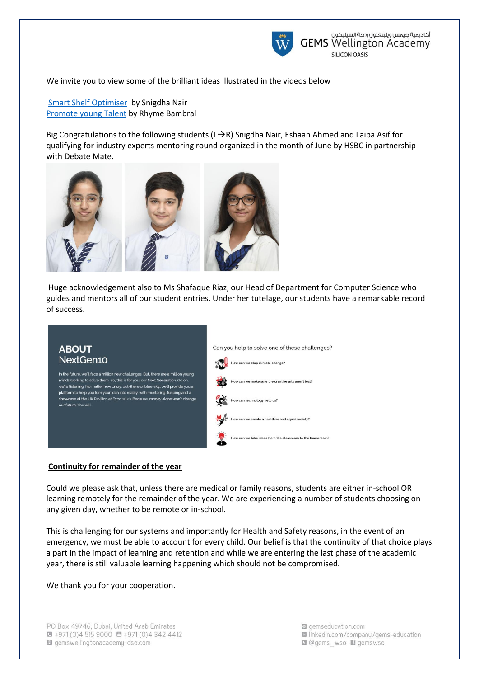

We invite you to view some of the brilliant ideas illustrated in the videos below

[Smart Shelf Optimiser](https://gemsedu-my.sharepoint.com/:v:/p/s_riaz1_wso/EeSh916XWJpBiCGiye1eI5YBNneNKzn9Ul9Fvi-GmKAaKg?e=eQaCed) by Snigdha Nair [Promote young Talent](https://gemsedu-my.sharepoint.com/:v:/p/s_riaz1_wso/EScBHAKsVC5Nrdthrc-00-oBWgBf3r-9CG4isNZCVgO89A?e=AyfhJo) by Rhyme Bambral

Big Congratulations to the following students ( $L\rightarrow R$ ) Snigdha Nair, Eshaan Ahmed and Laiba Asif for qualifying for industry experts mentoring round organized in the month of June by HSBC in partnership with Debate Mate.



Huge acknowledgement also to Ms Shafaque Riaz, our Head of Department for Computer Science who guides and mentors all of our student entries. Under her tutelage, our students have a remarkable record of success.



#### **Continuity for remainder of the year**

Could we please ask that, unless there are medical or family reasons, students are either in-school OR learning remotely for the remainder of the year. We are experiencing a number of students choosing on any given day, whether to be remote or in-school.

This is challenging for our systems and importantly for Health and Safety reasons, in the event of an emergency, we must be able to account for every child. Our belief is that the continuity of that choice plays a part in the impact of learning and retention and while we are entering the last phase of the academic year, there is still valuable learning happening which should not be compromised.

We thank you for your cooperation.